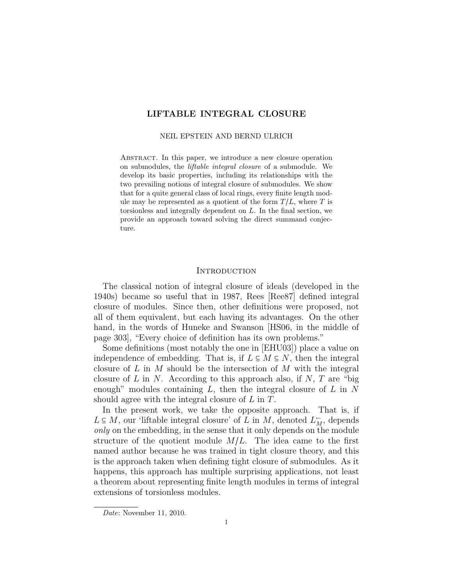# LIFTABLE INTEGRAL CLOSURE

#### NEIL EPSTEIN AND BERND ULRICH

Abstract. In this paper, we introduce a new closure operation on submodules, the liftable integral closure of a submodule. We develop its basic properties, including its relationships with the two prevailing notions of integral closure of submodules. We show that for a quite general class of local rings, every finite length module may be represented as a quotient of the form  $T/L$ , where T is torsionless and integrally dependent on L. In the final section, we provide an approach toward solving the direct summand conjecture.

#### **INTRODUCTION**

The classical notion of integral closure of ideals (developed in the 1940s) became so useful that in 1987, Rees [Ree87] defined integral closure of modules. Since then, other definitions were proposed, not all of them equivalent, but each having its advantages. On the other hand, in the words of Huneke and Swanson [HS06, in the middle of page 303], "Every choice of definition has its own problems."

Some definitions (most notably the one in [EHU03]) place a value on independence of embedding. That is, if  $L \subseteq M \subseteq N$ , then the integral closure of L in M should be the intersection of M with the integral closure of  $L$  in  $N$ . According to this approach also, if  $N$ ,  $T$  are "big enough" modules containing  $L$ , then the integral closure of  $L$  in  $N$ should agree with the integral closure of L in T.

In the present work, we take the opposite approach. That is, if  $L \subseteq M$ , our 'liftable integral closure' of L in M, denoted  $L_M^-$ , depends<br>can<br>get an the embedding in the sense that it saly depends on the module only on the embedding, in the sense that it only depends on the module structure of the quotient module  $M/L$ . The idea came to the first named author because he was trained in tight closure theory, and this is the approach taken when defining tight closure of submodules. As it happens, this approach has multiple surprising applications, not least a theorem about representing finite length modules in terms of integral extensions of torsionless modules.

Date: November 11, 2010.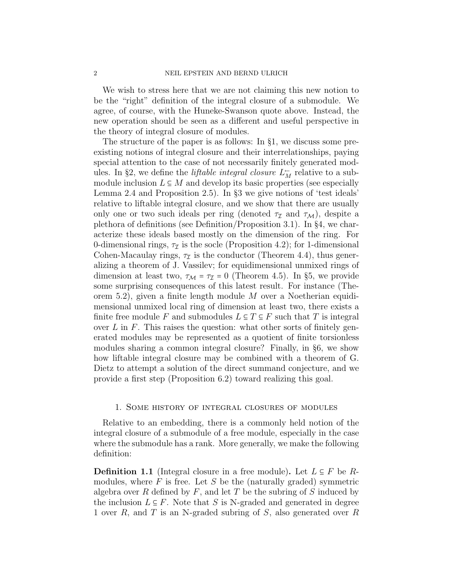We wish to stress here that we are not claiming this new notion to be the "right" definition of the integral closure of a submodule. We agree, of course, with the Huneke-Swanson quote above. Instead, the new operation should be seen as a different and useful perspective in the theory of integral closure of modules.

The structure of the paper is as follows: In §1, we discuss some preexisting notions of integral closure and their interrelationships, paying special attention to the case of not necessarily finitely generated modules. In §2, we define the *liftable integral closure*  $L<sup>+</sup><sub>M</sub>$  relative to a submodule inclusion  $L \subseteq M$  and develop its basic properties (see especially Lemma 2.4 and Proposition 2.5). In §3 we give notions of 'test ideals' relative to liftable integral closure, and we show that there are usually only one or two such ideals per ring (denoted  $\tau_{\mathcal{I}}$  and  $\tau_{\mathcal{M}}$ ), despite a plethora of definitions (see Definition/Proposition 3.1). In §4, we characterize these ideals based mostly on the dimension of the ring. For 0-dimensional rings,  $\tau_{\mathcal{I}}$  is the socle (Proposition 4.2); for 1-dimensional Cohen-Macaulay rings,  $\tau_{\mathcal{I}}$  is the conductor (Theorem 4.4), thus generalizing a theorem of J. Vassilev; for equidimensional unmixed rings of dimension at least two,  $\tau_{\mathcal{M}} = \tau_{\mathcal{I}} = 0$  (Theorem 4.5). In §5, we provide some surprising consequences of this latest result. For instance (Theorem 5.2), given a finite length module M over a Noetherian equidimensional unmixed local ring of dimension at least two, there exists a finite free module F and submodules  $L \subseteq T \subseteq F$  such that T is integral over  $L$  in  $F$ . This raises the question: what other sorts of finitely generated modules may be represented as a quotient of finite torsionless modules sharing a common integral closure? Finally, in §6, we show how liftable integral closure may be combined with a theorem of G. Dietz to attempt a solution of the direct summand conjecture, and we provide a first step (Proposition 6.2) toward realizing this goal.

#### 1. Some history of integral closures of modules

Relative to an embedding, there is a commonly held notion of the integral closure of a submodule of a free module, especially in the case where the submodule has a rank. More generally, we make the following definition:

**Definition 1.1** (Integral closure in a free module). Let  $L \subseteq F$  be Rmodules, where  $F$  is free. Let  $S$  be the (naturally graded) symmetric algebra over R defined by  $F$ , and let T be the subring of S induced by the inclusion  $L \subseteq F$ . Note that S is N-graded and generated in degree 1 over R, and T is an N-graded subring of S, also generated over R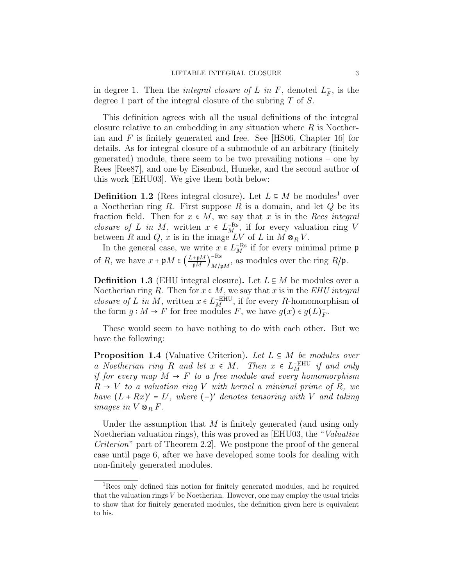in degree 1. Then the *integral closure of L in F*, denoted  $L_F^-$ , is the degree 1 part of the integral closure of the subring T of S.

This definition agrees with all the usual definitions of the integral closure relative to an embedding in any situation where  $R$  is Noetherian and  $F$  is finitely generated and free. See [HS06, Chapter 16] for details. As for integral closure of a submodule of an arbitrary (finitely generated) module, there seem to be two prevailing notions – one by Rees [Ree87], and one by Eisenbud, Huneke, and the second author of this work [EHU03]. We give them both below:

**Definition 1.2** (Rees integral closure). Let  $L \subseteq M$  be modules<sup>1</sup> over a Noetherian ring  $R$ . First suppose  $R$  is a domain, and let  $Q$  be its fraction field. Then for  $x \in M$ , we say that x is in the Rees integral *closure of L in M*, written  $x \in L_{M}^{-Rs}$ , if for every valuation ring V<br>between  $P$  and  $Q$ ,  $x$  is in the image  $I V$  of  $I$  in  $M \otimes V$ between R and Q, x is in the image  $LV$  of L in  $M \otimes_R V$ .

In the general case, we write  $x \in L_M^{\text{--Rs}}$  if for every minimal prime  $\mathfrak{p}$ of  $R$ , we have  $x + \mathfrak{p}M \in \left(\frac{L+\mathfrak{p}M}{\mathfrak{p}M}\right)$  $\mathfrak{p}\overline{M}$  ) −Rs  $\lim_{M/\mathfrak{p}M}$ , as modules over the ring  $R/\mathfrak{p}$ .

**Definition 1.3** (EHU integral closure). Let  $L \subseteq M$  be modules over a Noetherian ring R. Then for  $x \in M$ , we say that x is in the EHU integral *closure of L in M*, written  $x \in L_T^{\text{-EHU}}$ , if for every R-homomorphism of the form  $\alpha : M \to F$  for free modules  $F$ , we have  $\alpha(\alpha) \in \alpha(L)$ . the form  $g: M \to F$  for free modules F, we have  $g(x) \in g(L)_F^-$ .

These would seem to have nothing to do with each other. But we have the following:

**Proposition 1.4** (Valuative Criterion). Let  $L \subseteq M$  be modules over a Noetherian ring R and let  $x \in M$ . Then  $x \in L_{\text{H}}^{\text{EHU}}$  if and only if for every map  $M \to F$  to a free module and every homomorphism  $R \rightarrow V$  to a valuation ring V with kernel a minimal prime of R, we have  $(L + Rx)' = L'$ , where  $(-)'$  denotes tensoring with V and taking images in  $V \otimes_R F$ .

Under the assumption that  $M$  is finitely generated (and using only Noetherian valuation rings), this was proved as [EHU03, the "Valuative Criterion" part of Theorem 2.2]. We postpone the proof of the general case until page 6, after we have developed some tools for dealing with non-finitely generated modules.

<sup>1</sup>Rees only defined this notion for finitely generated modules, and he required that the valuation rings  $V$  be Noetherian. However, one may employ the usual tricks to show that for finitely generated modules, the definition given here is equivalent to his.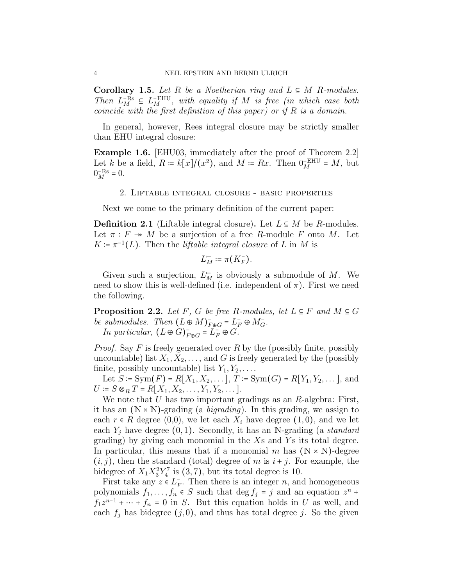Corollary 1.5. Let R be a Noetherian ring and  $L \subseteq M$  R-modules. Then  $L_{M}^{\text{-Rs}} \subseteq L_{M}^{\text{EHU}}$ , with equality if M is free (in which case both coincide with the first definition of this names) on if B is a demain coincide with the first definition of this paper) or if  $R$  is a domain.

In general, however, Rees integral closure may be strictly smaller than EHU integral closure:

Example 1.6. [EHU03, immediately after the proof of Theorem 2.2] Let k be a field,  $R = k[x]/(x^2)$ , and  $M = Rx$ . Then  $0_M^{\text{-EHU}} = M$ , but  $0^{-\text{BS}} = 0$ .  $0_M^{-\text{Rs}} = 0.$ 

### 2. Liftable integral closure - basic properties

Next we come to the primary definition of the current paper:

**Definition 2.1** (Liftable integral closure). Let  $L \subseteq M$  be R-modules. Let  $\pi : F \twoheadrightarrow M$  be a surjection of a free R-module F onto M. Let  $K \coloneqq \pi^{-1}(L)$ . Then the *liftable integral closure* of L in M is

$$
L_M^- \coloneqq \pi(K_F^-).
$$

Given such a surjection,  $L_M^-$  is obviously a submodule of M. We need to show this is well-defined (i.e. independent of  $\pi$ ). First we need the following.

**Proposition 2.2.** Let F, G be free R-modules, let  $L \subseteq F$  and  $M \subseteq G$ be submodules. Then  $(L \oplus M)_{F \oplus G}^{-} = L_F^{-} \oplus M_G^{-}$ .<br>
In particular  $(L \oplus C)^{-} = L_F^{-} \oplus C$ In particular,  $(L \oplus G)_{F \oplus G} = L_F^+ \oplus G$ .

*Proof.* Say F is freely generated over R by the (possibly finite, possibly uncountable) list  $X_1, X_2, \ldots$ , and G is freely generated by the (possibly finite, possibly uncountable) list  $Y_1, Y_2, \ldots$ .

Let  $S := \text{Sym}(F) = R[X_1, X_2, \dots],$   $T := \text{Sym}(G) = R[Y_1, Y_2, \dots],$  and  $U = S \otimes_R T = R[X_1, X_2, \ldots, Y_1, Y_2, \ldots].$ 

We note that  $U$  has two important gradings as an  $R$ -algebra: First, it has an  $(N \times N)$ -grading (a *bigrading*). In this grading, we assign to each  $r \in R$  degree  $(0,0)$ , we let each  $X_i$  have degree  $(1,0)$ , and we let each  $Y_i$  have degree  $(0, 1)$ . Secondly, it has an N-grading (a *standard* grading) by giving each monomial in the  $X_s$  and  $Y_s$  its total degree. In particular, this means that if a monomial m has  $(N \times N)$ -degree  $(i, j)$ , then the standard (total) degree of m is  $i + j$ . For example, the bidegree of  $X_1 X_3^2 Y_4^7$  is (3,7), but its total degree is 10.

First take any  $z \in L_F^-$ . Then there is an integer n, and homogeneous<br>lungwish  $f = \int_C S$  such that do f is and an equation  $x^n +$ polynomials  $f_1, \ldots, f_n \in S$  such that  $\deg f_j = j$  and an equation  $z^n +$ <br> $f(z^{n-1}) + \deg f(z)$  by  $S$ . But this equation holds in  $U$  as well, and  $f_1z^{n-1} + \cdots + f_n = 0$  in S. But this equation holds in U as well, and seek f, has hidegree (i, 0) and thus has total degree i. So the given each  $f_i$  has bidegree  $(j, 0)$ , and thus has total degree j. So the given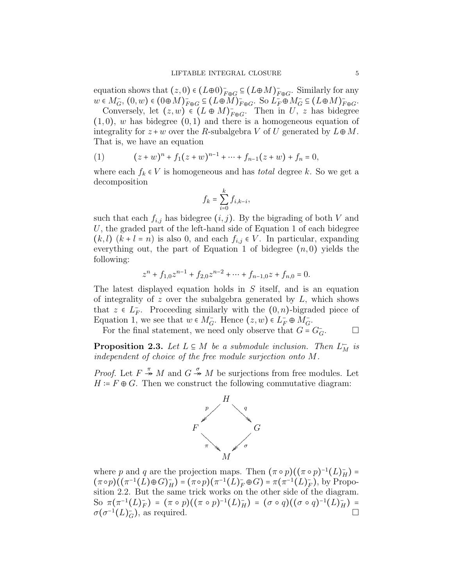equation shows that  $(z, 0) \in (L\oplus 0)_{F\oplus G}^{-} \subseteq (L\oplus M)_{F\oplus G}^{-}$ . Similarly for any  $w \in M_G^-$ ,  $(0, w) \in (0 \oplus M)_{F \oplus G}^- \subseteq (L \oplus M)_{F \oplus G}^-$ . So  $L_F^- \oplus M_G^- \subseteq (L \oplus M)_{F \oplus G}^-$ .<br>Convergely let  $(w, w) \in (L \oplus M)^-$ . Then in  $U_{g,w}$  has hidemed.

Conversely, let  $(z, w) \in (L \oplus M)_{F \oplus G}^{-1}$ . Then in  $U, z$  has bidegree  $(1, 0)$ , w has bidegree  $(0, 1)$  and there is a homogeneous equation of integrality for  $z + w$  over the R-subalgebra V of U generated by  $L \oplus M$ . That is, we have an equation

(1) 
$$
(z+w)^n + f_1(z+w)^{n-1} + \dots + f_{n-1}(z+w) + f_n = 0,
$$

where each  $f_k \in V$  is homogeneous and has *total* degree k. So we get a decomposition

$$
f_k = \sum_{i=0}^k f_{i,k-i},
$$

such that each  $f_{i,j}$  has bidegree  $(i, j)$ . By the bigrading of both V and U, the graded part of the left-hand side of Equation 1 of each bidegree  $(k, l)$   $(k + l = n)$  is also 0, and each  $f_{i,j} \in V$ . In particular, expanding everything out, the part of Equation 1 of bidegree  $(n,0)$  yields the following:

$$
z^{n} + f_{1,0}z^{n-1} + f_{2,0}z^{n-2} + \dots + f_{n-1,0}z + f_{n,0} = 0.
$$

The latest displayed equation holds in S itself, and is an equation of integrality of z over the subalgebra generated by  $L$ , which shows that  $z \in L_F^-$ . Proceeding similarly with the  $(0, n)$ -bigraded piece of  $F_{\text{cutoff}}$  is  $L_F$  and  $\mathcal{L}_F$  and  $\mathcal{L}_F$  and  $\mathcal{L}_F$  and  $\mathcal{L}_F$  and  $\mathcal{L}_F$  and  $\mathcal{L}_F$  and  $\mathcal{L}_F$  and  $\mathcal{L}_F$  and  $\mathcal{L}_F$  and Equation 1, we see that  $w \in M_G^-$ . Hence  $(z, w) \in L_F^- \oplus M_G^-$ .<br>For the final statement, we need only absenue that  $C =$ 

For the final statement, we need only observe that  $G = G_G^ \Box$ 

**Proposition 2.3.** Let  $L \subseteq M$  be a submodule inclusion. Then  $L_M^-$  is independent of sheirs of the free module sympation enter M independent of choice of the free module surjection onto M.

*Proof.* Let  $F \stackrel{\pi}{\twoheadrightarrow} M$  and  $G \stackrel{\sigma}{\twoheadrightarrow} M$  be surjections from free modules. Let  $H = F \oplus G$ . Then we construct the following commutative diagram:



where p and q are the projection maps. Then  $(\pi \circ p)((\pi \circ p)^{-1}(L)_H^-) =$  $(\pi \circ p)((\pi^{-1}(L) \oplus G)_H) = (\pi \circ p)(\pi^{-1}(L)_F^T \oplus G) = \pi(\pi^{-1}(L)_F^T)$ , by Propo-<br>cition 2.2. But the same trials weaker at the other side of the diagram sition 2.2. But the same trick works on the other side of the diagram. So  $\pi(\pi^{-1}(L)_F^-) = (\pi \circ p)((\pi \circ p)^{-1}(L)_H^-) = (\sigma \circ q)((\sigma \circ q)^{-1}(L)_H^-) =$ <br> $\pi(\pi^{-1}(L)_F^-)$  as required  $\sigma(\sigma^{-1}(L)_G^-)$ , as required.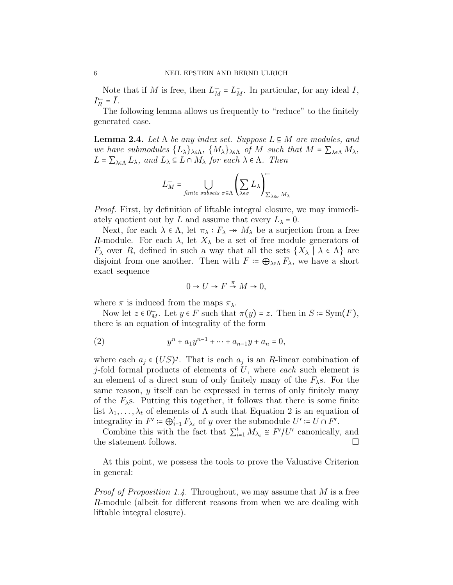Note that if M is free, then  $L_M^- = L_M^-$ . In particular, for any ideal I,  $I_R^{\leftarrow} = \overline{I}.$ <br>The

The following lemma allows us frequently to "reduce" to the finitely generated case.

**Lemma 2.4.** Let  $\Lambda$  be any index set. Suppose  $L \subseteq M$  are modules, and we have submodules  $\{L_{\lambda}\}_{\lambda \in \Lambda}$ ,  $\{M_{\lambda}\}_{\lambda \in \Lambda}$  of M such that  $M = \sum_{\lambda \in \Lambda} M_{\lambda}$ ,  $L = \sum_{\lambda \in \Lambda} L_{\lambda}$ , and  $L_{\lambda} \subseteq L \cap M_{\lambda}$  for each  $\lambda \in \Lambda$ . Then

$$
L_M^{\leftarrow} = \bigcup_{\text{finite subsets } \sigma \subseteq \Lambda} \left( \sum_{\lambda \in \sigma} L_{\lambda} \right)_{\sum_{\lambda \in \sigma} M_{\lambda}}
$$

Proof. First, by definition of liftable integral closure, we may immediately quotient out by L and assume that every  $L_{\lambda} = 0$ .

Next, for each  $\lambda \in \Lambda$ , let  $\pi_{\lambda}: F_{\lambda} \twoheadrightarrow M_{\lambda}$  be a surjection from a free R-module. For each  $\lambda$ , let  $X_{\lambda}$  be a set of free module generators of  $F_{\lambda}$  over R, defined in such a way that all the sets  $\{X_{\lambda} | \lambda \in \Lambda\}$  are disjoint from one another. Then with  $F = \bigoplus_{\lambda \in \Lambda} F_{\lambda}$ , we have a short exact sequence

$$
0 \to U \to F \stackrel{\pi}{\to} M \to 0,
$$

where  $\pi$  is induced from the maps  $\pi_{\lambda}$ .

Now let  $z \in 0_M^{\mathbb{Z}}$ . Let  $y \in F$  such that  $\pi(y) = z$ . Then in  $S = \text{Sym}(F)$ , there is an equation of integrality of the form

(2) 
$$
y^{n} + a_1 y^{n-1} + \dots + a_{n-1} y + a_n = 0,
$$

where each  $a_j \in (US)^j$ . That is each  $a_j$  is an R-linear combination of it fold formal products of elements of  $U$ , where each such element is *j*-fold formal products of elements of  $U$ , where each such element is an element of a direct sum of only finitely many of the  $F_{\lambda}$ s. For the same reason, y itself can be expressed in terms of only finitely many of the  $F_{\lambda}$ s. Putting this together, it follows that there is some finite list  $\lambda_1, \ldots, \lambda_t$  of elements of  $\Lambda$  such that Equation 2 is an equation of integrality in  $F' \coloneqq \bigoplus_{i=1}^t F_{\lambda_i}$  of y over the submodule  $U' \coloneqq U \cap F'$ .<br>Combine this with the feet that  $\sum_{i=1}^t M_i \propto F' \setminus U'$  cononically

Combine this with the fact that  $\sum_{i=1}^{t} M_{\lambda_i} \cong F'/U'$  canonically, and the statement follows.

At this point, we possess the tools to prove the Valuative Criterion in general:

*Proof of Proposition 1.4.* Throughout, we may assume that  $M$  is a free R-module (albeit for different reasons from when we are dealing with liftable integral closure).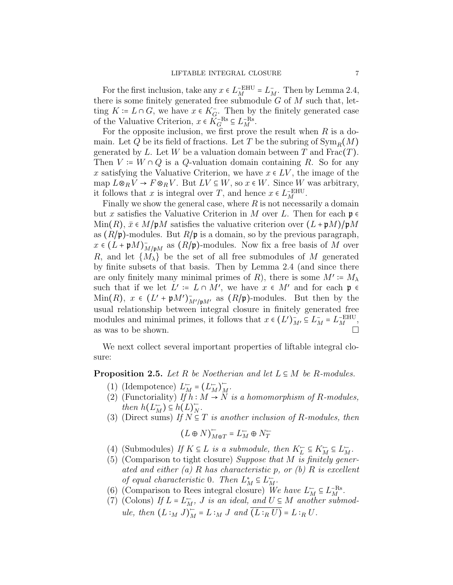For the first inclusion, take any  $x \in L_M^{-\text{EHU}} = L_M^-$ . Then by Lemma 2.4, there is some finitely generated free submodule  $G$  of  $M$  such that, letting  $K = L \cap G$ , we have  $x \in K_G^-$ . Then by the finitely generated case of the Valuative Criterion,  $x \in K_G^{-Rs} \subseteq L_M^{-Rs}$ .<br>For the ennesite inclusion, we first previous

For the opposite inclusion, we first prove the result when  $R$  is a domain. Let Q be its field of fractions. Let T be the subring of  $\text{Sym}_R(M)$ generated by L. Let W be a valuation domain between T and  $Frac(T)$ . Then  $V = W \cap Q$  is a Q-valuation domain containing R. So for any x satisfying the Valuative Criterion, we have  $x \in LV$ , the image of the map  $L \otimes_R V \to F \otimes_R V$  . But  $LV \subseteq W,$  so  $x \in W.$  Since  $W$  was arbitrary, it follows that x is integral over T, and hence  $x \in L_{M}^{-EHU}$ .<br>Finally we show the general asses where B is not necessary

Finally we show the general case, where  $R$  is not necessarily a domain but x satisfies the Valuative Criterion in M over L. Then for each  $\mathfrak{p} \in$  $\text{Min}(R)$ ,  $\bar{x} \in M/\mathfrak{p}M$  satisfies the valuative criterion over  $(L + \mathfrak{p}M)/\mathfrak{p}M$ as  $(R/\mathfrak{p})$ -modules. But  $R/\mathfrak{p}$  is a domain, so by the previous paragraph,  $x \in (L + \mathfrak{p}M)_{M/\mathfrak{p}M}^{-1}$  as  $(R/\mathfrak{p})$ -modules. Now fix a free basis of M over R, and let  $\{M_{\lambda}\}\$ be the set of all free submodules of M generated by finite subsets of that basis. Then by Lemma 2.4 (and since there are only finitely many minimal primes of R), there is some  $M' := M_{\lambda}$ <br>such that if we let  $I'_{\lambda}$  in  $I \odot M'_{\lambda}$  we have  $x \in M'$  and for soch  $x \in \mathbb{R}$ such that if we let  $L' \coloneqq L \cap M'$ , we have  $x \in M'$  and for each  $\mathfrak{p} \in M$  in  $(D)$ ,  $x \in (L' + \mathfrak{p}M')$  and  $(x \in R')$  is nodulo as  $\mathfrak{p}$  by then by the Min(R),  $x \in (L' + pM')_{M'/pM'}^{-}$  as  $(R/p)$ -modules. But then by the usual relationship between integral closure in finitely generated free modules and minimal primes, it follows that  $x \in (L')_{M'}^- \subseteq L_M^- = L_M^{\text{-EHU}}$ , as was to be shown.

We next collect several important properties of liftable integral closure:

**Proposition 2.5.** Let R be Noetherian and let  $L \subseteq M$  be R-modules.

- (1) (Idempotence)  $L_M^- = (L_M^-)$  $\overline{M}$ .
- (2) (Functoriality) If  $\hat{h}: M \to N$  is a homomorphism of R-modules, then  $h(L_M^-) \subseteq h(L)_N^-$ <br>(Direct sump) If  $N_G^ \frac{1}{N}$ .
- (3) (Direct sums) If  $N \subseteq T$  is another inclusion of R-modules, then

$$
(L\oplus N)_{M\oplus T}^{-}=L_{M}^{-}\oplus N_{T}^{-}
$$

- (4) (Submodules) If  $K \subseteq L$  is a submodule, then  $K_L^{\leftarrow} \subseteq K_M^{\leftarrow} \subseteq L_M^{\leftarrow}$ .<br>(5) (Companison to tight electron) Suppose that M is finitely sense
- (5) (Comparison to tight closure) Suppose that  $M$  is finitely generated and either  $(a)$  R has characteristic p, or  $(b)$  R is excellent of equal characteristic 0. Then  $L_M^* \subseteq L_M^-$ .<br>(Comparison to Boss integral electron)  $\overline{M}$ .
- (6) (Comparison to Rees integral closure) We have  $L_M^- \subseteq L_M^{-\text{Rs}}$ .<br>(7) (Colora) If  $L = L = L$  is an ideal, and  $U \subseteq M$  another subm
- (7) (Colons) If  $L = L_M^-$ , J is an ideal, and  $U \subseteq M$  another submodule, then  $(L:_{M} J)_{M}^{-} = L:_{M} J$  and  $\overline{(L:_{R} U)} = L:_{R} U$ .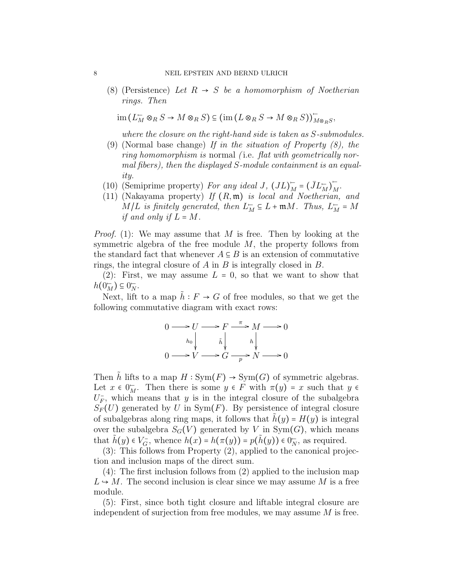(8) (Persistence) Let  $R \rightarrow S$  be a homomorphism of Noetherian rings. Then

$$
\operatorname{im} (L_M^{\scriptscriptstyle\leftarrow} \otimes_R S \to M \otimes_R S) \subseteq (\operatorname{im} (L \otimes_R S \to M \otimes_R S))_{M \otimes_R S}^{\scriptscriptstyle\leftarrow},
$$

where the closure on the right-hand side is taken as S-submodules.

- (9) (Normal base change) If in the situation of Property  $(8)$ , the ring homomorphism is normal (i.e. flat with geometrically normal fibers), then the displayed S-module containment is an equality.
- (10) (Semiprime property) For any ideal J,  $(JL)^{-}_{M} = (\bar{J}L^{\rightarrow}_{M})$ <br>(11) (Nalayona property) If  $(D, m)$  is lead and Nastheria  $\overline{M}$ .
- (11) (Nakayama property) If  $(R, \mathfrak{m})$  is local and Noetherian, and  $M/L$  is finitely generated, then  $L_M^- \subseteq L + \mathfrak{m}M$ . Thus,  $L_M^- = M$ if and only if  $L = M$ .

*Proof.* (1): We may assume that M is free. Then by looking at the symmetric algebra of the free module  $M$ , the property follows from the standard fact that whenever  $A \subseteq B$  is an extension of commutative rings, the integral closure of  $A$  in  $B$  is integrally closed in  $B$ .

(2): First, we may assume  $L = 0$ , so that we want to show that  $h(0_M^-) \subseteq 0_N^-$ .

Next, lift to a map  $\tilde{h}: F \to G$  of free modules, so that we get the following commutative diagram with exact rows:

$$
0 \longrightarrow U \longrightarrow F \xrightarrow{\pi} M \longrightarrow 0
$$
  
\n
$$
h_0 \downarrow \qquad \tilde{h} \downarrow \qquad h \downarrow
$$
  
\n
$$
0 \longrightarrow V \longrightarrow G \xrightarrow{p} N \longrightarrow 0
$$

Then h lifts to a map  $H : Sym(F) \to Sym(G)$  of symmetric algebras. Let  $x \in 0^{\infty}_M$ . Then there is some  $y \in F$  with  $\pi(y) = x$  such that  $y \in$ <br> $U^{\perp}$  which means that  $y$  is in the integral electron of the subglobe  $U_F^-$ , which means that y is in the integral closure of the subalgebra  $S_F(U)$  generated by U in Sym(F). By persistence of integral closure of subalgebras along ring maps, it follows that  $h(y) = H(y)$  is integral over the subalgebra  $S_G(V)$  generated by V in Sym $(G)$ , which means that  $\tilde{h}(y) \in V_G^-$ , whence  $h(x) = h(\pi(y)) = p(\tilde{h}(y)) \in 0_N^-$ , as required.

(3): This follows from Property (2), applied to the canonical projection and inclusion maps of the direct sum.

(4): The first inclusion follows from (2) applied to the inclusion map  $L \rightarrow M$ . The second inclusion is clear since we may assume M is a free module.

(5): First, since both tight closure and liftable integral closure are independent of surjection from free modules, we may assume  $M$  is free.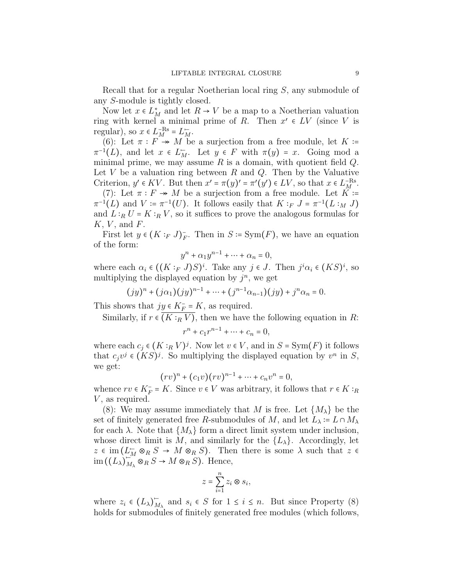Recall that for a regular Noetherian local ring S, any submodule of any S-module is tightly closed.

Now let  $x \in L^*_{M}$  and let  $R \to V$  be a map to a Noetherian valuation<br>or with largel a minimal prime of  $R$ . Then  $x' \in I V$  (since V is ring with kernel a minimal prime of R. Then  $x' \in LV$  (since V is required) so  $x \in L^{\infty}$ regular), so  $x \in L_M^{-\text{Rs}} = L_M^-$ .<br>(6), Let  $\pi : F \times M$  be

(6): Let  $\pi : F \twoheadrightarrow M$  be a surjection from a free module, let  $K :=$  $\pi^{-1}(L)$ , and let  $x \in L_M^{\mathbb{Z}}$ . Let  $y \in F$  with  $\pi(y) = x$ . Going mod a minimal prime, we may assume R is a demain with suction field O minimal prime, we may assume  $R$  is a domain, with quotient field  $Q$ . Let  $V$  be a valuation ring between  $R$  and  $Q$ . Then by the Valuative Criterion,  $y' \in KV$ . But then  $x' = \pi(y)' = \pi'(y') \in LV$ , so that  $x \in L_R^{-Rs}$ .<br>(7). Let  $\pi : F \to M$  be a supportion from a free module. Let  $K = \pi(X)$ .

(7): Let  $\pi : F \twoheadrightarrow M$  be a surjection from a free module. Let  $K \coloneqq$  $\pi^{-1}(L)$  and  $V := \pi^{-1}(U)$ . It follows easily that  $K :_F J = \pi^{-1}(L :_M J)$ and  $L:_{R} U = K:_{R} V$ , so it suffices to prove the analogous formulas for  $K, V,$  and  $F$ .

First let  $y \in (K :_F J)_F^-$ . Then in  $S \coloneqq \text{Sym}(F)$ , we have an equation of the form:

$$
y^n + \alpha_1 y^{n-1} + \dots + \alpha_n = 0,
$$

where each  $\alpha_i \in ((K :_F J)S)^i$ . Take any  $j \in J$ . Then  $j^i \alpha_i \in (KS)^i$ , so multiplying the displayed equation by  $i^n$ , we get multiplying the displayed equation by  $j^n$ , we get

$$
(jy)^{n} + (j\alpha_{1})(jy)^{n-1} + \cdots + (j^{n-1}\alpha_{n-1})(jy) + j^{n}\alpha_{n} = 0.
$$

This shows that  $jy \in K_F^- = K$ , as required.

Similarly, if  $r \in \overline{(K :_R V)}$ , then we have the following equation in R:

$$
r^{n} + c_{1}r^{n-1} + \dots + c_{n} = 0,
$$

where each  $c_j \in (K :_R V)^j$ . Now let  $v \in V$ , and in  $S = \text{Sym}(F)$  it follows that e vi  $\in (KS)^j$  . So multiplying the displayed constitution by  $v^n$  in  $S$ . that  $c_j v^j \in (KS)^j$ . So multiplying the displayed equation by  $v^n$  in  $S$ , we get:

$$
(rv)^n + (c_1v)(rv)^{n-1} + \cdots + c_nv^n = 0,
$$

whence  $rv \in K_F^- = K$ . Since  $v \in V$  was arbitrary, it follows that  $r \in K :_R$ <br> $V_{\text{max}}$  as nowing  $V$ , as required.

(8): We may assume immediately that M is free. Let  $\{M_{\lambda}\}\$ be the set of finitely generated free R-submodules of M, and let  $L_{\lambda} = L \cap M_{\lambda}$ for each  $\lambda$ . Note that  $\{M_{\lambda}\}\$ form a direct limit system under inclusion, whose direct limit is M, and similarly for the  $\{L_{\lambda}\}\$ . Accordingly, let  $z \in \text{im}(L_M^{\rightharpoonup} \otimes_R S \to M \otimes_R S)$ . Then there is some  $\lambda$  such that  $z \in$  $\lim_{\lambda \to 0} ((L_{\lambda})_{M}^{-1})$  $\sum_{M_{\lambda}}^{M_{\lambda}} \otimes_{R} S \to M \otimes_{R} S$ ). Hence,

$$
z = \sum_{i=1}^{n} z_i \otimes s_i,
$$

where  $z_i \in (L_\lambda)_{\lambda}$  $\overline{M}_{\lambda}$  and  $s_i \in S$  for  $1 \leq i \leq n$ . But since Property (8) holds for submodules of finitely generated free modules (which follows,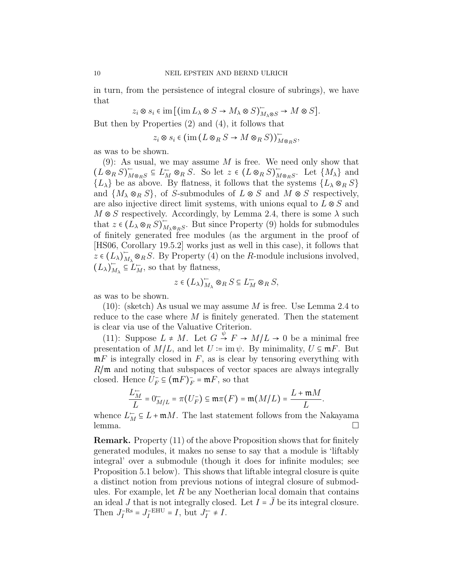in turn, from the persistence of integral closure of subrings), we have that

 $z_i \otimes s_i \in \text{im} \left[ \left( \text{im} \, L_\lambda \otimes S \to M_\lambda \otimes S \right)_{M_\lambda \otimes S}^{\mathop{\longleftarrow}} \to M \otimes S \right].$ 

But then by Properties (2) and (4), it follows that

$$
z_i \otimes s_i \in (\text{im}(L \otimes_R S \to M \otimes_R S))_{M \otimes_R S}^{\sim},
$$

as was to be shown.

 $(9)$ : As usual, we may assume M is free. We need only show that  $(L \otimes_R S)^{-}_{M}$  $\overline{M} \otimes_{R} S \subseteq L_M^- \otimes_R S$ . So let  $z \in (L \otimes_R S)$ <br> $\overline{M}$  $\overline{M} \otimes_R S$ . Let  $\{M_\lambda\}$  and  ${L_\lambda}$  be as above. By flatness, it follows that the systems  ${L_\lambda \otimes_R S}$ and  $\{M_\lambda \otimes_R S\}$ , of S-submodules of  $L \otimes S$  and  $M \otimes S$  respectively, are also injective direct limit systems, with unions equal to  $L \otimes S$  and  $M \otimes S$  respectively. Accordingly, by Lemma 2.4, there is some  $\lambda$  such that  $z \in (L_{\lambda} \otimes_R S)^{\mathbb{Z}}_{M}$  $\overline{M}_{\lambda \otimes_R S}$ . But since Property (9) holds for submodules of finitely generated free modules (as the argument in the proof of [HS06, Corollary 19.5.2] works just as well in this case), it follows that  $z \in (L_{\lambda})_M^ \overline{M}_{\Lambda} \otimes_R S$ . By Property (4) on the R-module inclusions involved,  $(L_{\lambda})_{M}^{-}$  $\overline{M}_{\lambda} \subseteq L_M^-$ , so that by flatness,

$$
z \in (L_{\lambda})_{M_{\lambda}}^{\vdash} \otimes_R S \subseteq L_M^{\vdash} \otimes_R S,
$$

as was to be shown.

 $(10)$ : (sketch) As usual we may assume M is free. Use Lemma 2.4 to reduce to the case where  $M$  is finitely generated. Then the statement is clear via use of the Valuative Criterion.

(11): Suppose  $L \neq M$ . Let  $G \stackrel{\psi}{\rightarrow} F \rightarrow M/L \rightarrow 0$  be a minimal free<br>executation of  $M/L$  and let  $U \equiv \text{im} \psi$ . By minimality  $U \subseteq \mathbf{m} F$ . But presentation of  $M/L$ , and let  $U \coloneqq \text{im } \psi$ . By minimality,  $U \subseteq mF$ . But  $mF$  is integrally closed in  $F$ , as is clear by tensoring everything with  $R/\mathfrak{m}$  and noting that subspaces of vector spaces are always integrally closed. Hence  $U_F^- \subseteq (\mathfrak{m} F)_F^- = \mathfrak{m} F$ , so that

$$
\frac{L_M^-}{L}=0_{M/L}^-=\pi(U_F^-)\subseteq \mathfrak{m}\pi(F)=\mathfrak{m}(M/L)=\frac{L+\mathfrak{m}M}{L}.
$$

whence  $L_M^- \subseteq L + \mathfrak{m}M$ . The last statement follows from the Nakayama lemma.

Remark. Property (11) of the above Proposition shows that for finitely generated modules, it makes no sense to say that a module is 'liftably integral' over a submodule (though it does for infinite modules; see Proposition 5.1 below). This shows that liftable integral closure is quite a distinct notion from previous notions of integral closure of submodules. For example, let  $R$  be any Noetherian local domain that contains an ideal J that is not integrally closed. Let  $I = \overline{J}$  be its integral closure. Then  $J_I^{-\text{Rs}} = J_I^{-\text{EHU}} = I$ , but  $J_I^- \neq I$ .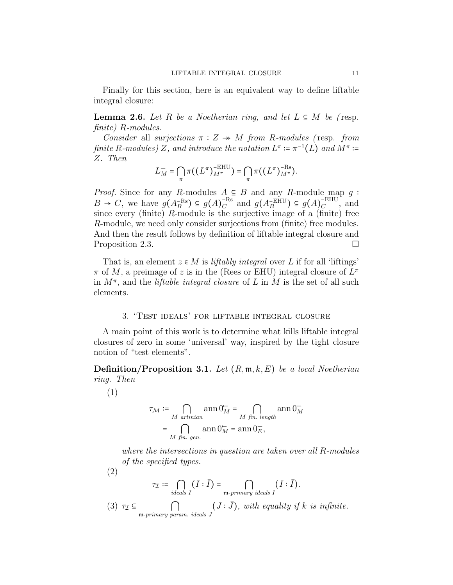Finally for this section, here is an equivalent way to define liftable integral closure:

**Lemma 2.6.** Let R be a Noetherian ring, and let  $L \subseteq M$  be (resp. finite) R-modules.

Consider all surjections  $\pi : Z \rightarrow M$  from R-modules (resp. from finite R-modules)  $Z$ , and introduce the notation  $L^{\pi} \coloneqq \pi^{-1}(L)$  and  $M^{\pi} \coloneqq Z$ . Then Z. Then

$$
L_M^- = \bigcap_{\pi} \pi((L^{\pi})_{M^{\pi}}^{\text{EHU}}) = \bigcap_{\pi} \pi((L^{\pi})_{M^{\pi}}^{\text{-Rs}}).
$$

*Proof.* Since for any R-modules  $A \subseteq B$  and any R-module map q:  $B \to C$ , we have  $g(A_B^{-Rs}) \subseteq g(A_C)^{-Rs}$ <sup>-Rs</sup> and  $g(A_B^{\text{-EHU}}) \subseteq g(A_C^{\text{-EHU}})$  $_C$ <sup> $\subset$  $\sim$ </sub>, and</sup> since every (finite)  $R$ -module is the surjective image of a (finite) free R-module, we need only consider surjections from (finite) free modules. And then the result follows by definition of liftable integral closure and Proposition 2.3.

That is, an element  $z \in M$  is liftably integral over L if for all 'liftings'  $\pi$  of M, a preimage of z is in the (Rees or EHU) integral closure of  $L^{\pi}$ in  $M^{\pi}$ , and the *liftable integral closure* of L in M is the set of all such elements.

# 3. 'Test ideals' for liftable integral closure

A main point of this work is to determine what kills liftable integral closures of zero in some 'universal' way, inspired by the tight closure notion of "test elements".

**Definition/Proposition 3.1.** Let  $(R, \mathfrak{m}, k, E)$  be a local Noetherian ring. Then

(1)

$$
\tau_{\mathcal{M}} := \bigcap_{M \text{ artinian}} \operatorname{ann} 0_M^- = \bigcap_{M \text{ fin. length}} \operatorname{ann} 0_M^-
$$

$$
= \bigcap_{M \text{ fin. gen.}} \operatorname{ann} 0_M^+ = \operatorname{ann} 0_E^-,
$$

where the intersections in question are taken over all R-modules of the specified types.

(2)

$$
\tau_{\mathcal{I}} \coloneqq \bigcap_{ideals \ I} (I : \bar{I}) = \bigcap_{\mathfrak{m}\text{-primary ideals } I} (I : \bar{I}).
$$

(3)  $\tau_{\mathcal{I}} \subseteq \bigcap_{\substack{\text{m-primary param. ideals } J}} (J : \bar{J})$ , with equality if k is infinite.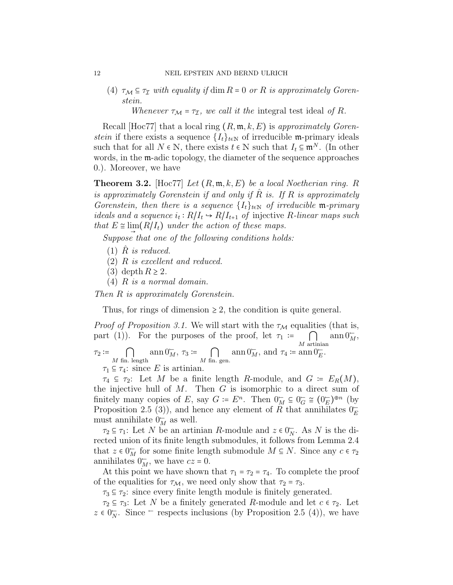(4)  $\tau_{\mathcal{M}} \subseteq \tau_{\mathcal{I}}$  with equality if  $\dim R = 0$  or R is approximately Gorenstein.

Whenever  $\tau_{\mathcal{M}} = \tau_{\mathcal{I}}$ , we call it the integral test ideal of R.

Recall [Hoc77] that a local ring  $(R, \mathfrak{m}, k, E)$  is approximately Gorenstein if there exists a sequence  $\{I_t\}_{t\in\mathbb{N}}$  of irreducible m-primary ideals such that for all  $N \in \mathbb{N}$ , there exists  $t \in \mathbb{N}$  such that  $I_t \subseteq \mathfrak{m}^N$ . (In other words, in the m-adic topology, the diameter of the sequence approaches 0.). Moreover, we have

**Theorem 3.2.** [Hoc77] Let  $(R, \mathfrak{m}, k, E)$  be a local Noetherian ring. R is approximately Gorenstein if and only if  $\hat{R}$  is. If  $R$  is approximately Gorenstein, then there is a sequence  $\{I_t\}_{t\in\mathbb{N}}$  of irreducible m-primary ideals and a sequence  $i_t: R/I_t \to R/I_{t+1}$  of injective R-linear maps such that  $F \circ \lim_{t \to t} (PL)$  and  $f$  is a strong fille sequence that  $E \cong \lim_{n \to \infty} (R/I_t)$  under the action of these maps.

Suppose that one of the following conditions holds:

- $(1)$  R is reduced.
- (2) R is excellent and reduced.
- (3) depth  $R \geq 2$ .
- (4) R is a normal domain.

Then R is approximately Gorenstein.

Thus, for rings of dimension  $\geq 2$ , the condition is quite general.

*Proof of Proposition 3.1.* We will start with the  $\tau_M$  equalities (that is, part (1)). For the purposes of the proof, let  $\tau_1 := \bigcap_{M \text{ artinian}}$  $ann\,0<sub>M</sub><sup>-</sup>,$  $\tau_2 \coloneqq \bigcap_{M \text{ fin. length}}$ ann  $0_M^-, \tau_3 := \bigcap_{M \text{ fin. gen.}}$ ann  $0_M^-,$  and  $\tau_4 \coloneqq \operatorname{ann} 0_E^-.$  $\tau_1 \subseteq \tau_4$ : since E is artinian.

 $\tau_4 \subseteq \tau_2$ : Let M be a finite length R-module, and  $G = E_R(M)$ , the injective hull of  $M$ . Then  $G$  is isomorphic to a direct sum of finitely many copies of E, say  $G \coloneqq E^n$ . Then  $0_H^{\leftarrow} \subseteq 0_G^{\leftarrow} \cong (0_E^{\leftarrow})^{\oplus n}$  (by Proposition 2.5 (2)), and happen any element of P that applicates  $0^{\leftarrow}$ Proposition 2.5 (3)), and hence any element of R that annihilates  $0<sub>E</sub>$ must annihilate  $0^-_M$  as well.

 $\tau_2 \subseteq \tau_1$ : Let N be an artinian R-module and  $z \in 0^{\infty}$ . As N is the di-<br>ated union of its finite length submodules it follows from Lemma 2.4 rected union of its finite length submodules, it follows from Lemma 2.4 that  $z \in 0_M^{\infty}$  for some finite length submodule  $M \subseteq N$ . Since any  $c \in \tau_2$ annihilates  $0_M^-,$  we have  $cz = 0$ .

At this point we have shown that  $\tau_1 = \tau_2 = \tau_4$ . To complete the proof of the equalities for  $\tau_{\mathcal{M}}$ , we need only show that  $\tau_2 = \tau_3$ .

 $\tau_3 \subseteq \tau_2$ : since every finite length module is finitely generated.

 $\tau_2 \subseteq \tau_3$ : Let N be a finitely generated R-module and let  $c \in \tau_2$ . Let  $z \in 0^{\infty}$ . Since  $\vdash$  respects inclusions (by Proposition 2.5 (4)), we have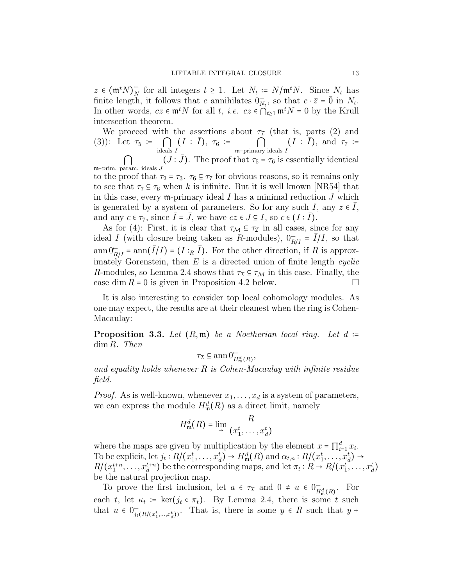$z \in (\mathfrak{m}^t N)_N^ \overline{N}_N$  for all integers  $t \geq 1$ . Let  $N_t := N/\mathfrak{m}^t N$ . Since  $N_t$  has finite length, it follows that c annihilates  $0_{N_t}^{\dagger}$ , so that  $c \cdot \bar{z} = \bar{0}$  in  $N_t$ . In other words,  $cz \in \mathfrak{m}^t N$  for all  $t, i.e.$   $cz \in \bigcap_{t>1} \mathfrak{m}^t N = 0$  by the Krull intersection theorem.

We proceed with the assertions about  $\tau_I$  (that is, parts (2) and (3)): Let  $\tau_5 := \bigcap_{\text{ideals } I} (I : \overline{I}), \ \tau_6 := \bigcap_{\mathfrak{m}-\text{primary ideals } I} (I : \overline{I}), \text{ and } \tau_7 :=$ 

 $\frac{1}{m}$ –prim. param. ideals J  $(J : \bar{J})$ . The proof that  $\tau_5 = \tau_6$  is essentially identical

to the proof that  $\tau_2 = \tau_3$ .  $\tau_6 \subseteq \tau_7$  for obvious reasons, so it remains only to see that  $\tau_7 \subseteq \tau_6$  when k is infinite. But it is well known [NR54] that in this case, every  $m$ -primary ideal I has a minimal reduction J which is generated by a system of parameters. So for any such I, any  $z \in \overline{I}$ , and any  $c \in \tau_7$ , since  $\overline{I} = \overline{J}$ , we have  $cz \in J \subseteq I$ , so  $c \in (I : \overline{I})$ .

As for (4): First, it is clear that  $\tau_{\mathcal{M}} \subseteq \tau_{\mathcal{I}}$  in all cases, since for any ideal I (with closure being taken as R-modules),  $0_{R/I} = \overline{I}/I$ , so that  $\text{ann } 0_{R/I}^{\vdash} = \text{ann}(\bar{I}/I) = (I :_R \bar{I}).$  For the other direction, if R is approximately Gorenstein, then  $E$  is a directed union of finite length *cyclic* R-modules, so Lemma 2.4 shows that  $\tau_{\mathcal{I}} \subseteq \tau_{\mathcal{M}}$  in this case. Finally, the case dim  $R = 0$  is given in Proposition 4.2 below. case dim  $R = 0$  is given in Proposition 4.2 below.

It is also interesting to consider top local cohomology modules. As one may expect, the results are at their cleanest when the ring is Cohen-Macaulay:

**Proposition 3.3.** Let  $(R, \mathfrak{m})$  be a Noetherian local ring. Let  $d :=$ dim R. Then

$$
\tau_{\mathcal{I}} \subseteq \operatorname{ann} 0^{\mathcal{I}}_{H^d_{\mathfrak{m}}(R)},
$$

and equality holds whenever  $R$  is Cohen-Macaulay with infinite residue field.

*Proof.* As is well-known, whenever  $x_1, \ldots, x_d$  is a system of parameters, we can express the module  $H^d_{\mathfrak{m}}(R)$  as a direct limit, namely

$$
H_{\mathfrak{m}}^d(R) = \lim_{\rightarrow} \frac{R}{(x_1^t, \dots, x_d^t)}
$$

where the maps are given by multiplication by the element  $x = \prod_{i=1}^{d} x_i$ .<br>To be evaluated to the  $P(f_{i})$  and  $P(f_{i})$  and  $Q_{i}$  and  $Q_{i}$  and  $Q_{i}$ . To be explicit, let  $j_t : R/(x_1^t, \ldots, x_d^t) \to H_{\mathfrak{m}}^d(R)$  and  $\alpha_{t,n} : R/(x_1^t, \ldots, x_d^t) \to$ <br> $R/(x_1^{t+n}, \ldots, x_d^{t+n})$  be the corresponding maps, and let  $\pi_t : R \to R/(x_1^t, \ldots, x_d^t)$ be the natural projection map.

To prove the first inclusion, let  $a \in \tau_{\mathcal{I}}$  and  $0 \neq u \in 0_{H^d_{\mathfrak{m}}(R)}^{\mathfrak{m}}$ . For each t, let  $\kappa_t := \ker(j_t \circ \pi_t)$ . By Lemma 2.4, there is some t such that  $\kappa_t := \text{Fok}(\kappa_t)$ . that  $u \in 0^-_{j_t(R/(x_1^t,...,x_d^t))}$ . That is, there is some  $y \in R$  such that  $y +$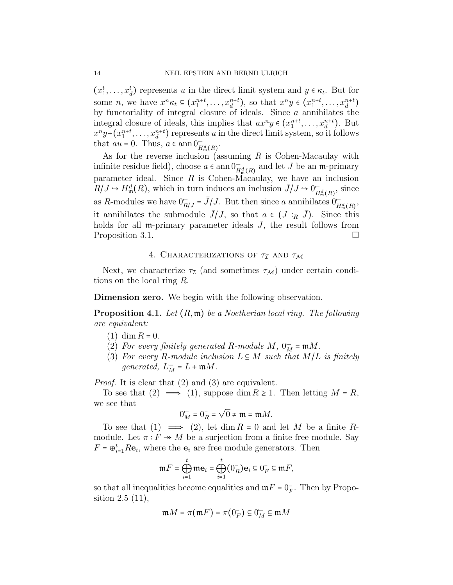$(x_1^t, \ldots, x_d^t)$  represents u in the direct limit system and  $y \in \overline{\kappa_t}$ . But for some *n*, we have  $x^n \kappa_t \subseteq (x_1^{n+t}, \ldots, x_d^{n+t})$ , so that  $x^n y \in (x_1^{n+t}, \ldots, x_d^{n+t})$ by functoriality of integral closure of ideals. Since  $\alpha$  annihilates the integral closure of ideals, this implies that  $ax^n y \in (x_1^{n+t}, \ldots, x_d^{n+t})$ . But  $x^n y + (x_1^{n+t}, \ldots, x_d^{n+t})$  represents u in the direct limit system, so it follows that  $au = 0$ . Thus,  $a \in \text{ann } 0^{\leftarrow}_{H^d_{\mathfrak{m}}(R)}$ .

As for the reverse inclusion (assuming  $R$  is Cohen-Macaulay with infinite residue field), choose  $a \in \text{ann}\,0^{\text{--}}_{H^d_{\text{F}}(R)}$  and let J be an m-primary parameter ideal. Since  $R$  is Cohen-Macaulay, we have an inclusion  $R/J \hookrightarrow H^d_{\mathfrak{m}}(R)$ , which in turn induces an inclusion  $\bar{J}/J \hookrightarrow 0^-_{H^d_{\mathfrak{m}}(R)}$ , since as R-modules we have  $0_{R/J}^- = \bar{J}/J$ . But then since a annihilates  $0_{H^d_{\mathfrak{m}}(R)}^-$ , it annihilates the submodule  $J/J$ , so that  $a \in (J :_R J)$ . Since this holds for all **m**-primary parameter ideals J, the result follows from Proposition 3.1.

# 4. CHARACTERIZATIONS OF  $\tau_{\mathcal{I}}$  AND  $\tau_{\mathcal{M}}$

Next, we characterize  $\tau_{\mathcal{I}}$  (and sometimes  $\tau_{\mathcal{M}}$ ) under certain conditions on the local ring R.

Dimension zero. We begin with the following observation.

**Proposition 4.1.** Let  $(R, \mathfrak{m})$  be a Noetherian local ring. The following are equivalent:

- $(1)$  dim  $R = 0$ .
- (2) For every finitely generated R-module M,  $0_M^T = \mathfrak{m}M$ .<br>(2) For every B module inclusion  $I \subseteq M$  even that  $M/I$ .
- (3) For every R-module inclusion  $L \subseteq M$  such that  $M/L$  is finitely generated,  $L_M^- = L + \mathfrak{m} M$ .

Proof. It is clear that (2) and (3) are equivalent.

To see that  $(2) \implies (1)$ , suppose dim  $R \geq 1$ . Then letting  $M = R$ , we see that

$$
0_M^- = 0_R^- = \sqrt{0} \neq \mathfrak{m} = \mathfrak{m}M.
$$

To see that  $(1) \implies (2)$ , let  $\dim R = 0$  and let M be a finite Rmodule. Let  $\pi : F \twoheadrightarrow M$  be a surjection from a finite free module. Say  $F = \bigoplus_{i=1}^{t} R \mathbf{e}_i$ , where the  $\mathbf{e}_i$  are free module generators. Then

$$
\mathfrak{m} F = \bigoplus_{i=1}^t \mathfrak{m} \mathbf{e}_i = \bigoplus_{i=1}^t (0_R^-) \mathbf{e}_i \subseteq 0_F^- \subseteq \mathfrak{m} F,
$$

so that all inequalities become equalities and  $mF = 0$ <sup>-</sup><sub>F</sub>. Then by Propo-<br>cition 2.5 (11) sition 2.5 (11),

$$
\mathfrak{m}M = \pi(\mathfrak{m}F) = \pi(0_F^-) \subseteq 0_M^-\subseteq \mathfrak{m}M
$$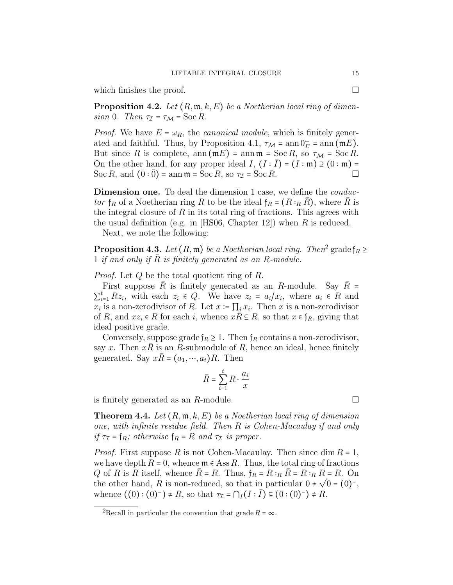which finishes the proof.  $\Box$ 

**Proposition 4.2.** Let  $(R, \mathfrak{m}, k, E)$  be a Noetherian local ring of dimension 0. Then  $\tau_{\mathcal{I}} = \tau_{\mathcal{M}} = \text{Soc } R$ .

*Proof.* We have  $E = \omega_R$ , the *canonical module*, which is finitely generated and faithful. Thus, by Proposition 4.1,  $\tau_{\mathcal{M}} = \text{ann } 0_E^{\mathcal{L}} = \text{ann } (\mathfrak{m} E)$ .<br>But gives  $P$  is complete, any  $(\mathfrak{m} E)$  = any  $\mathfrak{m} = \text{Sos } P$ , so  $\tau_{\mathcal{L}} = \text{Sos } P$ . But since R is complete,  $ann(mE) = ann m = Soc R$ , so  $\tau_{\mathcal{M}} = Soc R$ . On the other hand, for any proper ideal  $I$ ,  $(I : \overline{I}) = (I : \mathfrak{m}) \supseteq (0 : \mathfrak{m}) =$ <br>See P, and  $(0 : \overline{0}) =$  ann  $\mathfrak{m} =$  See P, see  $\overline{B} =$  See P. Soc R, and  $(0:0)$  = ann  $\mathfrak{m}$  = Soc R, so  $\tau_{\mathcal{I}}$  = Soc R.

Dimension one. To deal the dimension 1 case, we define the *conduc*tor  $f_R$  of a Noetherian ring R to be the ideal  $f_R = (R :_R R)$ , where R is the integral closure of  $R$  in its total ring of fractions. This agrees with the usual definition (e.g. in [HS06, Chapter 12]) when  $R$  is reduced.

Next, we note the following:

**Proposition 4.3.** Let  $(R, \mathfrak{m})$  be a Noetherian local ring. Then<sup>2</sup> grade  $\mathfrak{f}_R \geq 1$  if and only if  $\overline{R}$  is finitally concentral as an  $R$  module. 1 if and only if R is finitely generated as an R-module.

Proof. Let Q be the total quotient ring of R.

First suppose R is finitely generated as an R-module. Say  $R =$  $\sum_{i=1}^{n} L_{\infty i}$ , when each  $z_i \in \mathbb{Q}$ . We have  $z_i = a_{ij} x_i$ , where  $a_i \in R$  and  $x_i$  is a non-zerodivisor of R. Let  $x := \prod_i x_i$ . Then x is a non-zerodivisor  $_{i=1}^{t} Rz_i$ , with each  $z_i \in Q$ . We have  $z_i = a_i/x_i$ , where  $a_i \in R$  and of R, and  $xz_i \in R$  for each i, whence  $xR \subseteq R$ , so that  $x \in f_R$ , giving that ideal positive grade.

Conversely, suppose grade  $f_R \geq 1$ . Then  $f_R$  contains a non-zerodivisor, say x. Then  $xR$  is an R-submodule of R, hence an ideal, hence finitely generated. Say  $x\overline{R} = (a_1, \dots, a_t)R$ . Then

$$
\bar{R} = \sum_{i=1}^t R \cdot \frac{a_i}{x}
$$

is finitely generated as an  $R$ -module.  $\square$ 

**Theorem 4.4.** Let  $(R, \mathfrak{m}, k, E)$  be a Noetherian local ring of dimension one, with infinite residue field. Then R is Cohen-Macaulay if and only if  $\tau_{\mathcal{I}} = \mathfrak{f}_R$ ; otherwise  $\mathfrak{f}_R = R$  and  $\tau_{\mathcal{I}}$  is proper.

*Proof.* First suppose R is not Cohen-Macaulay. Then since dim  $R = 1$ , we have depth  $R = 0$ , whence  $\mathfrak{m} \in \text{Ass } R$ . Thus, the total ring of fractions Q of R is R itself, whence  $\bar{R} = R$ . Thus,  $\mathfrak{f}_R = R :_R \bar{R} = R :_R R = R$ . On the other hand, R is non-reduced, so that in particular  $0 \neq \sqrt{0} = (0)^{-}$ , whence  $((0): (0)^{-}) \neq R$ , so that  $\tau_{\mathcal{I}} = \bigcap_{I} (I : \overline{I}) \subseteq (0 : (0)^{-}) \neq R$ .

<sup>&</sup>lt;sup>2</sup>Recall in particular the convention that grade  $R = \infty$ .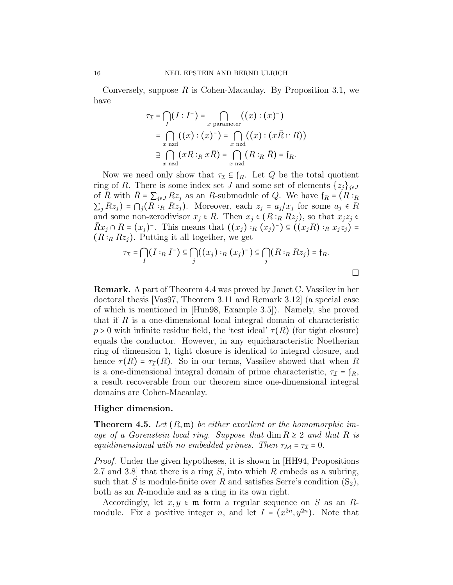Conversely, suppose  $R$  is Cohen-Macaulay. By Proposition 3.1, we have

$$
\tau_{\mathcal{I}} = \bigcap_{I} (I : I^{-}) = \bigcap_{x \text{ parameter}} ((x) : (x)^{-})
$$
  
= 
$$
\bigcap_{x \text{ rad}} ((x) : (x)^{-}) = \bigcap_{x \text{ rad}} ((x) : (x\overline{R} \cap R))
$$
  

$$
\supseteq \bigcap_{x \text{ rad}} (xR :_R x\overline{R}) = \bigcap_{x \text{ rad}} (R :_R \overline{R}) = \mathfrak{f}_R.
$$

Now we need only show that  $\tau_{\mathcal{I}} \subseteq \mathfrak{f}_R$ . Let Q be the total quotient ring of R. There is some index set J and some set of elements  $\{z_j\}_{j\in J}$ of  $\overline{R}$  with  $\overline{R} = \sum_{j\in J} Rz_j$  as an R-submodule of Q. We have  $f_R = (R :_R$  $\sum_j Rz_j$ ) =  $\bigcap_j (R \cdot_R R z_j)$ . Moreover, each  $z_j = a_j / x_j$  for some  $a_j \in R$ <br>and some non-gradition  $x_j \in R$ . Then  $x_j \in (R \cdot R z_j)$  so that  $x_j \in R$ and some non-zerodivisor  $x_j \in R$ . Then  $x_j \in (R :_R R z_j)$ , so that  $x_j z_j \in$ Rx¯ <sup>j</sup> <sup>∩</sup> <sup>R</sup> <sup>=</sup> (x<sup>j</sup>) <sup>−</sup>. This means that ((x<sup>j</sup>) <sup>∶</sup><sup>R</sup> (x<sup>j</sup>) <sup>−</sup>) <sup>⊆</sup> ((xjR) <sup>∶</sup><sup>R</sup> <sup>x</sup>jz<sup>j</sup>) <sup>=</sup>  $(R:_{R} Rz_{j})$ . Putting it all together, we get

$$
\tau_{\mathcal{I}} = \bigcap_{I} (I :_{R} I^{-}) \subseteq \bigcap_{j} ((x_{j}) :_{R} (x_{j})^{-}) \subseteq \bigcap_{j} (R :_{R} R z_{j}) = \mathfrak{f}_{R}.
$$

 $\Box$ 

Remark. A part of Theorem 4.4 was proved by Janet C. Vassilev in her doctoral thesis [Vas97, Theorem 3.11 and Remark 3.12] (a special case of which is mentioned in [Hun98, Example 3.5]). Namely, she proved that if  $R$  is a one-dimensional local integral domain of characteristic  $p > 0$  with infinite residue field, the 'test ideal'  $\tau(R)$  (for tight closure) equals the conductor. However, in any equicharacteristic Noetherian ring of dimension 1, tight closure is identical to integral closure, and hence  $\tau(R) = \tau_{\mathcal{I}}(R)$ . So in our terms, Vassilev showed that when R is a one-dimensional integral domain of prime characteristic,  $\tau_{\mathcal{I}} = f_R$ , a result recoverable from our theorem since one-dimensional integral domains are Cohen-Macaulay.

## Higher dimension.

**Theorem 4.5.** Let  $(R, \mathfrak{m})$  be either excellent or the homomorphic image of a Gorenstein local ring. Suppose that  $\dim R \geq 2$  and that R is equidimensional with no embedded primes. Then  $\tau_{\mathcal{M}} = \tau_{\mathcal{I}} = 0$ .

*Proof.* Under the given hypotheses, it is shown in  $HH94$ , Propositions 2.7 and 3.8 that there is a ring  $S$ , into which  $R$  embeds as a subring, such that S is module-finite over R and satisfies Serre's condition  $(S_2)$ , both as an R-module and as a ring in its own right.

Accordingly, let  $x, y \in \mathfrak{m}$  form a regular sequence on S as an Rmodule. Fix a positive integer *n*, and let  $I = (x^{2n}, y^{2n})$ . Note that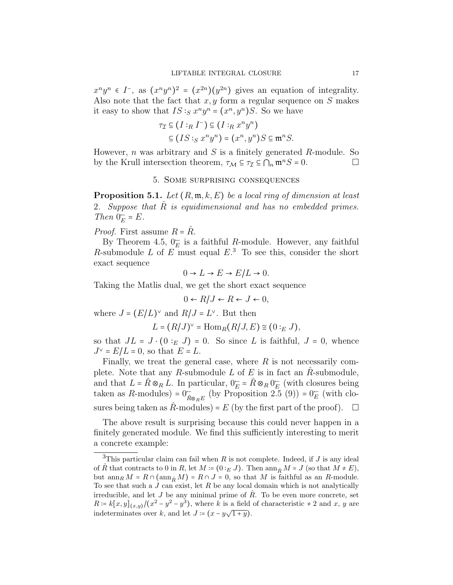$x^n y^n \in I^-$ , as  $(x^n y^n)^2 = (x^{2n})(y^{2n})$  gives an equation of integrality. Also note that the fact that  $x, y$  form a regular sequence on S makes it easy to show that  $IS:_{S} x^{n}y^{n} = (x^{n}, y^{n})S$ . So we have

$$
\tau_{\mathcal{I}} \subseteq (I :_R I^-) \subseteq (I :_R x^n y^n)
$$

$$
\subseteq (IS :_S x^n y^n) = (x^n, y^n) S \subseteq \mathfrak{m}^n S.
$$

However, *n* was arbitrary and *S* is a finitely generated *R*-module. So by the Krull intersection theorem,  $\tau_{\mathcal{M}} \subseteq \tau_{\mathcal{I}} \subseteq \bigcap_n \mathfrak{m}^n S = 0.$ 

### 5. Some surprising consequences

**Proposition 5.1.** Let  $(R, \mathfrak{m}, k, E)$  be a local ring of dimension at least 2. Suppose that  $\tilde{R}$  is equidimensional and has no embedded primes. Then  $0_{E}^{-} = E$ .

*Proof.* First assume  $R = \hat{R}$ .

By Theorem 4.5,  $0_F^-$  is a faithful R-module. However, any faithful R-submodule L of  $E$  must equal  $E$ <sup>3</sup>. To see this, consider the short exact sequence

$$
0 \to L \to E \to E/L \to 0.
$$

Taking the Matlis dual, we get the short exact sequence

$$
0 \leftarrow R/J \leftarrow R \leftarrow J \leftarrow 0,
$$

where  $J = (E/L)^{\vee}$  and  $R/J = L^{\vee}$ . But then

$$
L = (R/J)^{\vee} = \text{Hom}_{R}(R/J, E) \cong (0:_{E} J),
$$

so that  $JL = J \cdot (0 :_E J) = 0$ . So since L is faithful,  $J = 0$ , whence  $J^{\vee} = E/L = 0$ , so that  $E = L$ .

Finally, we treat the general case, where  $R$  is not necessarily complete. Note that any R-submodule  $L$  of  $E$  is in fact an R-submodule, and that  $L = \hat{R} \otimes_R L$ . In particular,  $0_E^{\leftarrow} = \hat{R} \otimes_R 0_E^{\leftarrow}$  (with closures being taken as  $R$  modules) = 0<sup>-</sup> (by Proposition 2.5 (0)) = 0<sup>-</sup> (with also taken as  $R$ -modules) =  $0^{+}_{\hat{R}\otimes_{R}E}$  (by Proposition 2.5 (9)) =  $0^{+}_{E}$  (with closures being taken as  $\hat{R}$ -modules) = E (by the first part of the proof).  $\Box$ 

The above result is surprising because this could never happen in a finitely generated module. We find this sufficiently interesting to merit a concrete example:

<sup>&</sup>lt;sup>3</sup>This particular claim can fail when  $R$  is not complete. Indeed, if  $J$  is any ideal of  $\hat{R}$  that contracts to 0 in  $R$ , let  $M = (0:_{E} J)$ . Then ann  $_{\hat{R}} M = J$  (so that  $M \neq E$ ), but  $\dim_R M = R \cap (\dim_{\hat{R}} M) = R \cap J = 0$ , so that M is faithful as an R-module. To see that such a  $J$  can exist, let  $R$  be any local domain which is not analytically irreducible, and let J be any minimal prime of  $\hat{R}$ . To be even more concrete, set  $R = k[x, y]_{(x, y)}/(x^2 - y^2 - y^3)$ , where k is a field of characteristic  $\neq 2$  and x, y are indeterminates over k, and let  $J = (x - y\sqrt{1 + y}).$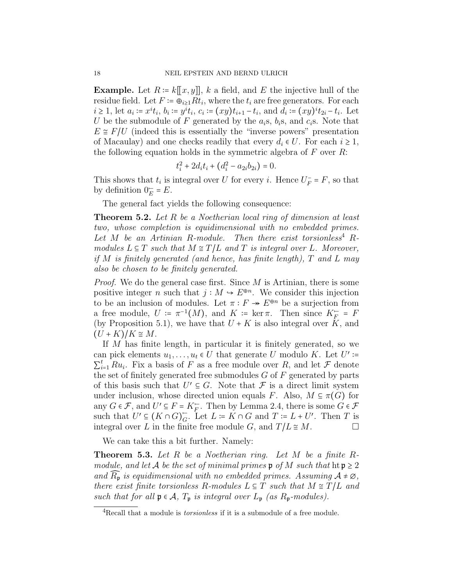**Example.** Let  $R = k[[x, y]], k$  a field, and E the injective hull of the residue field. Let  $F \coloneqq \overline{\oplus}_{i\geq 1} Rt_i$ , where the  $t_i$  are free generators. For each  $i \geq 1$ , let  $a_i := x^i t_i$ ,  $b_i := y^i t_i$ ,  $c_i := (xy)t_{i+1} - t_i$ , and  $d_i := (xy)^i t_{2i} - t_i$ . Let U be the submodule of F generated by the  $a_i$ s,  $b_i$ s, and  $c_i$ s. Note that  $E \cong F/U$  (indeed this is essentially the "inverse powers" presentation of Macaulay) and one checks readily that every  $d_i \in U$ . For each  $i \geq 1$ , the following equation holds in the symmetric algebra of  $F$  over  $R$ :

$$
t_i^2 + 2d_it_i + (d_i^2 - a_{2i}b_{2i}) = 0.
$$

This shows that  $t_i$  is integral over U for every i. Hence  $U_F^- = F$ , so that by definition  $0^- - F$ by definition  $0_E^- = E$ .

The general fact yields the following consequence:

Theorem 5.2. Let R be a Noetherian local ring of dimension at least two, whose completion is equidimensional with no embedded primes. Let  $M$  be an Artinian R-module. Then there exist torsionless<sup>4</sup> Rmodules  $L \subseteq T$  such that  $M \cong T/L$  and T is integral over L. Moreover, if M is finitely generated (and hence, has finite length), T and L may also be chosen to be finitely generated.

*Proof.* We do the general case first. Since  $M$  is Artinian, there is some positive integer n such that  $j : M \to E^{\oplus n}$ . We consider this injection to be an inclusion of modules. Let  $\pi : F \to E^{\oplus n}$  be a surjection from a free module,  $U := \pi^{-1}(M)$ , and  $K := \ker \pi$ . Then since  $K_F = F$ <br>(by Proposition 5.1), we have that  $U + K$  is also integral over K, and (by Proposition 5.1), we have that  $U + K$  is also integral over K, and  $(U+K)/K \cong M$ .

If M has finite length, in particular it is finitely generated, so we can pick elements  $u_1, \ldots, u_t \in U$  that generate U modulo K. Let  $U' \coloneqq \sum_{i=1}^t P_{\alpha_i}$ . Ein a bosis of E as a free module such B and let  $\mathcal{F}$  denote  $\sum_{i=1}^{n} \sum_{i=1}^{n}$  is a basis of T as a free modules G of F generated by parts  $_{i=1}^t Ru_i$ . Fix a basis of F as a free module over R, and let F denote of this basis such that  $U' \subseteq G$ . Note that  $\mathcal F$  is a direct limit system under inclusion, whose directed union equals F. Also,  $M \subseteq \pi(G)$  for any  $G \in \mathcal{F}$ , and  $U' \subseteq F = K_F^-$ . Then by Lemma 2.4, there is some  $G \in \mathcal{F}$ <br>such that  $U' \subseteq (K \cap G)^-$ . Let  $L = K \cap G$  and  $T := L \cup U'$ . Then  $T$  is such that  $U' \subseteq (K \cap G)_{G}^{\sim}$ <br>integral over *I* in the fine  $G:$  Let  $L := K \cap G$  and  $T := L + U'$ . Then T is integral over L in the finite free module G, and  $T/L \cong M$ .

We can take this a bit further. Namely:

**Theorem 5.3.** Let R be a Noetherian ring. Let M be a finite  $R$ module, and let A be the set of minimal primes  $\mathfrak p$  of M such that  $\operatorname{ht} \mathfrak p \geq 2$ and  $\overline{R}_{\mathfrak{p}}$  is equidimensional with no embedded primes. Assuming  $\mathcal{A} \neq \emptyset$ , there exist finite torsionless R-modules  $L \subseteq T$  such that  $M \cong T/L$  and such that for all  $\mathfrak{p} \in \mathcal{A}$ ,  $T_{\mathfrak{p}}$  is integral over  $L_{\mathfrak{p}}$  (as  $R_{\mathfrak{p}}$ -modules).

<sup>&</sup>lt;sup>4</sup>Recall that a module is *torsionless* if it is a submodule of a free module.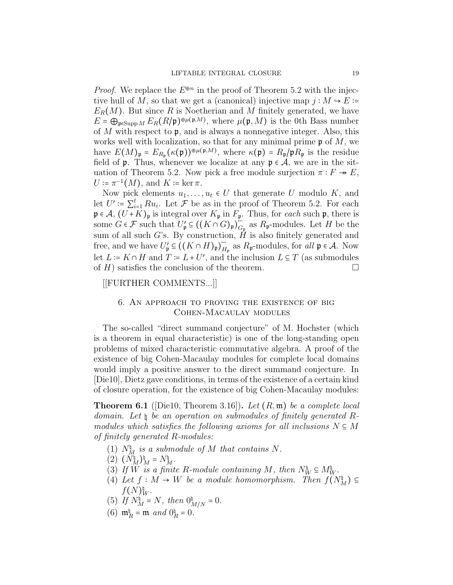*Proof.* We replace the  $E^{\oplus n}$  in the proof of Theorem 5.2 with the injective hull of M, so that we get a (canonical) injective map  $j : M \rightarrow E =$  $E_R(M)$ . But since R is Noetherian and M finitely generated, we have  $E = \bigoplus_{\mathfrak{p} \in \text{Supp } M} E_R(R/\mathfrak{p})^{\oplus \mu(\mathfrak{p},M)}$ , where  $\mu(\mathfrak{p},M)$  is the 0th Bass number<br>of M with reconct to **p** and is always a papparentive integer. Also, this of  $M$  with respect to  $\mathfrak{p}$ , and is always a nonnegative integer. Also, this works well with localization, so that for any minimal prime  $\mathfrak{p}$  of M, we have  $E(M)_{\mathfrak{p}} = E_{R_{\mathfrak{p}}}(\kappa(\mathfrak{p}))^{\oplus \mu(\mathfrak{p},M)}$ , where  $\kappa(\mathfrak{p}) = R_{\mathfrak{p}}/\mathfrak{p}R_{\mathfrak{p}}$  is the residue field of  $\mathfrak p$ . Thus, whenever we localize at any  $\mathfrak p \in \mathcal A$ , we are in the situation of Theorem 5.2. Now pick a free module surjection  $\pi : F \twoheadrightarrow E$ ,  $U \coloneqq \pi^{-1}(M)$ , and  $K \coloneqq \ker \pi$ .<br>Now pick elements  $\mu$ .

Now pick elements  $u_1, \ldots, u_t \in U$  that generate U modulo K, and let  $U' \coloneqq \sum_{i=1}^t Ru_i$ . Let  $\mathcal F$  be as in the proof of Theorem 5.2. For each  $\mathfrak{p} \in \mathcal{A}, (U + K)_{\mathfrak{p}}$  is integral over  $K_{\mathfrak{p}}$  in  $F_{\mathfrak{p}}$ . Thus, for *each* such  $\mathfrak{p}$ , there is some  $G \in \mathcal{F}$  such that  $U'_\mathfrak{p} \subseteq ((K \cap G)_\mathfrak{p})_G$  $\mathcal{L}_{G_{\mathfrak{p}}}$  as  $R_{\mathfrak{p}}$ -modules. Let H be the sum of all such G's. By construction,  $\hat{H}$  is also finitely generated and free, and we have  $U'_{\mathfrak{p}} \subseteq ((K \cap H)_{\mathfrak{p}})^{\mathfrak{p}}$  $H_p$  as  $R_p$ -modules, for all  $p \in A$ . Now let  $L := K \cap H$  and  $T := L + U'$ , and the inclusion  $L \subseteq T$  (as submodules of  $H$ ) satisfies the conclusion of the theorem.

[[FURTHER COMMENTS...]]

# 6. An approach to proving the existence of big Cohen-Macaulay modules

The so-called "direct summand conjecture" of M. Hochster (which is a theorem in equal characteristic) is one of the long-standing open problems of mixed characteristic commutative algebra. A proof of the existence of big Cohen-Macaulay modules for complete local domains would imply a positive answer to the direct summand conjecture. In [Die10], Dietz gave conditions, in terms of the existence of a certain kind of closure operation, for the existence of big Cohen-Macaulay modules:

**Theorem 6.1** ([Die10, Theorem 3.16]). Let  $(R, \mathfrak{m})$  be a complete local domain. Let  $\natural$  be an operation on submodules of finitely generated Rmodules which satisfies the following axioms for all inclusions  $N \subseteq M$ of finitely generated R-modules:

- (1)  $N_M^{\natural}$  is a submodule of M that contains N.
- $\begin{pmatrix} 2 \\ 0 \end{pmatrix} \begin{pmatrix} N_M^{\natural} \\ M \end{pmatrix}^{\natural}_{M} = N_M^{\natural}$
- (3) If W is a finite R-module containing M, then  $N_N^{\natural} \subseteq M_{W}^{\natural}$ .<br>(4) Let  $f: M \cup W$  be a module hamomorphism. Then  $f(\lambda)$
- (4) Let  $f: M \to W$  be a module homomorphism. Then  $f(N_M^{\natural}) \subseteq$  $f(N)^{\mathfrak{h}}_{W}.$
- (5) If  $N_M^{\natural} = N$ , then  $0_{M/N}^{\natural} = 0$ .
- (6)  $\mathfrak{m}_R^{\natural} = \mathfrak{m}$  and  $0_R^{\natural} = 0$ .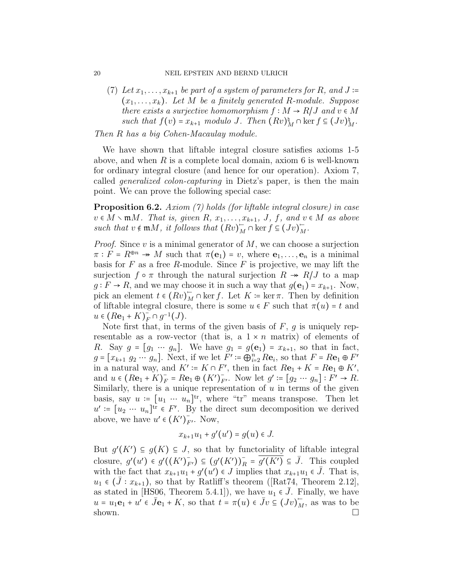(7) Let  $x_1, \ldots, x_{k+1}$  be part of a system of parameters for R, and J :=  $(x_1, \ldots, x_k)$ . Let M be a finitely generated R-module. Suppose there exists a surjective homomorphism  $f : M \to R/J$  and  $v \in M$ such that  $f(v) = x_{k+1}$  modulo J. Then  $(Rv)^{\text{th}}_M \cap \text{ker } f \subseteq (Jv)^{\text{th}}_M$ .

Then R has a big Cohen-Macaulay module.

We have shown that liftable integral closure satisfies axioms 1-5 above, and when  $R$  is a complete local domain, axiom 6 is well-known for ordinary integral closure (and hence for our operation). Axiom 7, called *generalized colon-capturing* in Dietz's paper, is then the main point. We can prove the following special case:

Proposition 6.2. Axiom (7) holds (for liftable integral closure) in case  $v \in M \setminus \mathfrak{m}M$ . That is, given  $R, x_1, \ldots, x_{k+1}, J, f, and v \in M$  as above such that  $v \notin \mathfrak{m}M$ , it follows that  $(Rv)_{M}^{-} \cap \ker f \subseteq (Jv)_{M}^{-}$ .

*Proof.* Since  $v$  is a minimal generator of  $M$ , we can choose a surjection  $\pi$ :  $F = R^{\oplus n} \rightarrow M$  such that  $\pi(\mathbf{e}_1) = v$ , where  $\mathbf{e}_1, \dots, \mathbf{e}_n$  is a minimal basis for  $F$  as a free  $R$ -module. Since  $F$  is projective, we may lift the surjection  $f \circ \pi$  through the natural surjection  $R \twoheadrightarrow R/J$  to a map  $g: F \to R$ , and we may choose it in such a way that  $g(\mathbf{e}_1) = x_{k+1}$ . Now, pick an element  $t \in (Rv)_M^{\mathbb{Z}} \cap \ker f$ . Let  $K \coloneqq \ker \pi$ . Then by definition of liftable integral closure, there is some  $u \in F$  such that  $\pi(u) = t$  and  $u \in (R\mathbf{e}_1 + K)_F^- \cap g^{-1}(J)$ .<br>Note first that in term

Note first that, in terms of the given basis of  $F$ ,  $g$  is uniquely representable as a row-vector (that is, a  $1 \times n$  matrix) of elements of R. Say  $g = [g_1 \cdots g_n]$ . We have  $g_1 = g(e_1) = x_{k+1}$ , so that in fact,  $g = [x_{k+1} \ g_2 \ \cdots \ g_n]$ . Next, if we let  $F' := \bigoplus_{i=2}^n R \mathbf{e}_i$ , so that  $F = R \mathbf{e}_1 \oplus F'$ in a natural way, and  $K' \coloneqq K \cap F'$ , then in fact  $R\mathbf{e}_1 + K = R\mathbf{e}_1 \oplus K'$ ,<br>and  $\mathcal{U} \in (R_2 + K)^{-1} = R_2 \oplus (K')^{-1}$ . Now let  $g' \coloneqq [g \otimes \dots g] \cdot F' \otimes P$ and  $u \in (R\mathbf{e}_1 + K)^{-}_{F}$ <br>Similarly there is a  $F = R\mathbf{e}_1 \oplus (K')_{F'}^{\dagger}.$  Now let  $g' \coloneqq [g_2 \cdots g_n] : F' \to R$ . Similarly, there is a unique representation of  $u$  in terms of the given basis, say  $u := [u_1 \cdots u_n]^{tr}$ , where "tr" means transpose. Then let  $u' := [u_2 \cdots u_n]^{tr} \in F'.$  By the direct sum decomposition we derived above, we have  $u' \in (K')_{F'}^{\sim}$ . Now,

$$
x_{k+1}u_1 + g'(u') = g(u) \in J.
$$

But  $g'(K') \subseteq g(K) \subseteq J$ , so that by functoriality of liftable integral closure,  $g'(u') \in g'((K')_{F'}^{-}) \subseteq (g'(K'))_R^{-} = \overline{g'(K')} \subseteq \overline{J}$ . This coupled with the fact that  $x_{k+1}u_1 + g'(u') \in J$  implies that  $x_{k+1}u_1 \in \bar{J}$ . That is,  $u_1 \in (J : x_{k+1}),$  so that by Ratliff's theorem ([Rat74, Theorem 2.12], as stated in [HS06, Theorem 5.4.1]), we have  $u_1 \in \overline{J}$ . Finally, we have  $u = u_1 \mathbf{e}_1 + u' \in \bar{J} \mathbf{e}_1 + K$ , so that  $t = \pi(u) \in \bar{J}v \subseteq (Jv)_{M}^{-}$ , as was to be shown.  $\square$